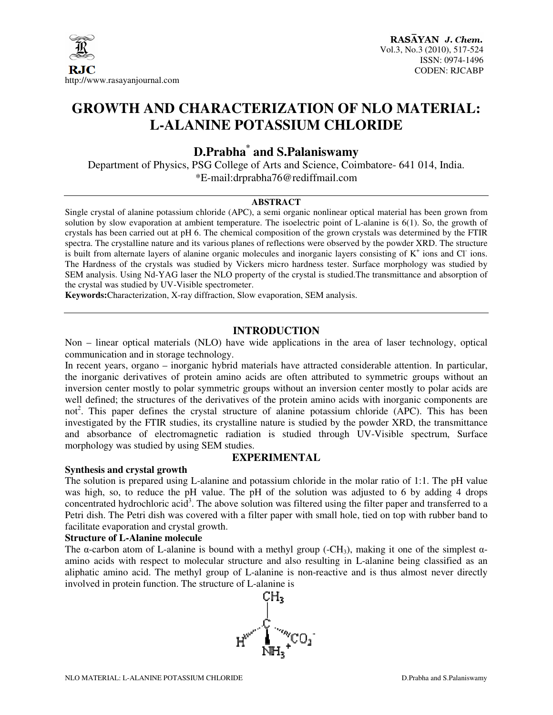

# **GROWTH AND CHARACTERIZATION OF NLO MATERIAL: L-ALANINE POTASSIUM CHLORIDE**

## **D.Prabha\* and S.Palaniswamy**

Department of Physics, PSG College of Arts and Science, Coimbatore- 641 014, India. \*E-mail:drprabha76@rediffmail.com

#### **ABSTRACT**

Single crystal of alanine potassium chloride (APC), a semi organic nonlinear optical material has been grown from solution by slow evaporation at ambient temperature. The isoelectric point of L-alanine is 6(1). So, the growth of crystals has been carried out at pH 6. The chemical composition of the grown crystals was determined by the FTIR spectra. The crystalline nature and its various planes of reflections were observed by the powder XRD. The structure is built from alternate layers of alanine organic molecules and inorganic layers consisting of  $K^+$  ions and Cl ions. The Hardness of the crystals was studied by Vickers micro hardness tester. Surface morphology was studied by SEM analysis. Using Nd-YAG laser the NLO property of the crystal is studied.The transmittance and absorption of the crystal was studied by UV-Visible spectrometer.

**Keywords:**Characterization, X-ray diffraction, Slow evaporation, SEM analysis.

#### **INTRODUCTION**

Non – linear optical materials (NLO) have wide applications in the area of laser technology, optical communication and in storage technology.

In recent years, organo – inorganic hybrid materials have attracted considerable attention. In particular, the inorganic derivatives of protein amino acids are often attributed to symmetric groups without an inversion center mostly to polar symmetric groups without an inversion center mostly to polar acids are well defined; the structures of the derivatives of the protein amino acids with inorganic components are not<sup>2</sup>. This paper defines the crystal structure of alanine potassium chloride (APC). This has been investigated by the FTIR studies, its crystalline nature is studied by the powder XRD, the transmittance and absorbance of electromagnetic radiation is studied through UV-Visible spectrum, Surface morphology was studied by using SEM studies.

#### **EXPERIMENTAL**

#### **Synthesis and crystal growth**

The solution is prepared using L-alanine and potassium chloride in the molar ratio of 1:1. The pH value was high, so, to reduce the pH value. The pH of the solution was adjusted to 6 by adding 4 drops concentrated hydrochloric acid<sup>3</sup>. The above solution was filtered using the filter paper and transferred to a Petri dish. The Petri dish was covered with a filter paper with small hole, tied on top with rubber band to facilitate evaporation and crystal growth.

#### **Structure of L-Alanine molecule**

The  $\alpha$ -carbon atom of L-alanine is bound with a methyl group (-CH<sub>3</sub>), making it one of the simplest  $\alpha$ amino acids with respect to molecular structure and also resulting in L-alanine being classified as an aliphatic amino acid. The methyl group of L-alanine is non-reactive and is thus almost never directly involved in protein function. The structure of L-alanine is

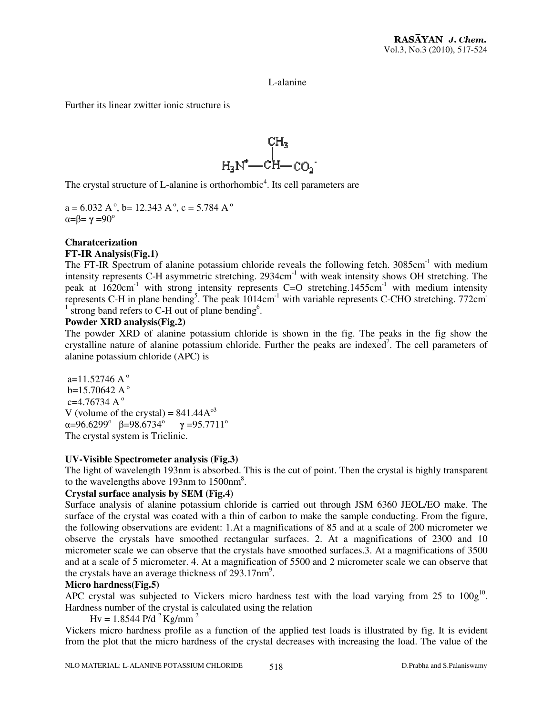L-alanine

Further its linear zwitter ionic structure is



The crystal structure of L-alanine is orthorhombic<sup>4</sup>. Its cell parameters are

 $a = 6.032 A^{\circ}$ , b= 12.343 A<sup>\oper</sup>, c = 5.784 A<sup>\oper</sup>  $\alpha = \beta = \gamma = 90^\circ$ 

#### **Charatcerization**

#### **FT-IR Analysis(Fig.1)**

The FT-IR Spectrum of alanine potassium chloride reveals the following fetch. 3085cm<sup>-1</sup> with medium intensity represents C-H asymmetric stretching. 2934cm<sup>-1</sup> with weak intensity shows OH stretching. The peak at  $1620 \text{cm}^{-1}$  with strong intensity represents C=O stretching.1455cm<sup>-1</sup> with medium intensity represents C-H in plane bending<sup>5</sup>. The peak  $1014 \text{cm}^{-1}$  with variable represents C-CHO stretching. 772cm<sup>-</sup>  $<sup>1</sup>$  strong band refers to C-H out of plane bending<sup>6</sup>.</sup>

#### **Powder XRD analysis(Fig.2)**

The powder XRD of alanine potassium chloride is shown in the fig. The peaks in the fig show the crystalline nature of alanine potassium chloride. Further the peaks are indexed<sup>7</sup>. The cell parameters of alanine potassium chloride (APC) is

a=11.52746 A $^{\circ}$  $b=15.70642$  A<sup>o</sup>  $c=4.76734 A^{\circ}$ V (volume of the crystal) =  $841.44A^{\circ3}$  $\alpha$ =96.6299° β=98.6734° γ=95.7711° The crystal system is Triclinic.

#### **UV-Visible Spectrometer analysis (Fig.3)**

The light of wavelength 193nm is absorbed. This is the cut of point. Then the crystal is highly transparent to the wavelengths above 193nm to  $1500$ nm<sup>8</sup>.

#### **Crystal surface analysis by SEM (Fig.4)**

Surface analysis of alanine potassium chloride is carried out through JSM 6360 JEOL/EO make. The surface of the crystal was coated with a thin of carbon to make the sample conducting. From the figure, the following observations are evident: 1.At a magnifications of 85 and at a scale of 200 micrometer we observe the crystals have smoothed rectangular surfaces. 2. At a magnifications of 2300 and 10 micrometer scale we can observe that the crystals have smoothed surfaces.3. At a magnifications of 3500 and at a scale of 5 micrometer. 4. At a magnification of 5500 and 2 micrometer scale we can observe that the crystals have an average thickness of  $293.17 \text{nm}^9$ .

#### **Micro hardness(Fig.5)**

APC crystal was subjected to Vickers micro hardness test with the load varying from  $25$  to  $100g^{10}$ . Hardness number of the crystal is calculated using the relation

 $Hv = 1.8544$  P/d<sup>2</sup> Kg/mm<sup>2</sup>

Vickers micro hardness profile as a function of the applied test loads is illustrated by fig. It is evident from the plot that the micro hardness of the crystal decreases with increasing the load. The value of the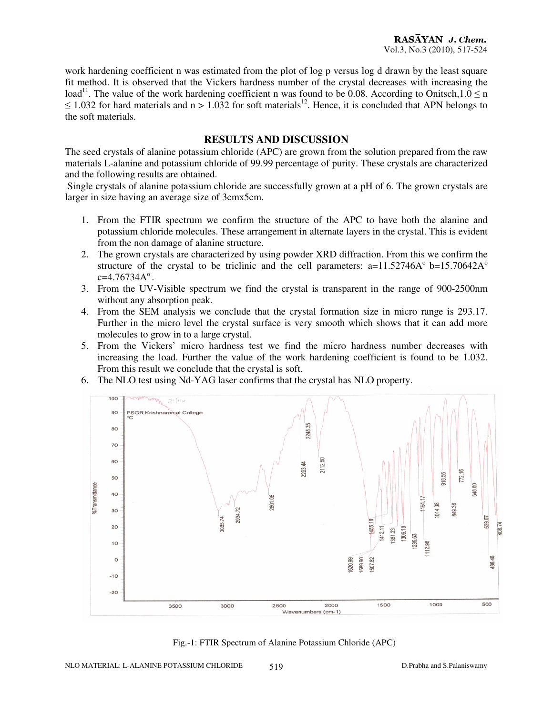work hardening coefficient n was estimated from the plot of log p versus log d drawn by the least square fit method. It is observed that the Vickers hardness number of the crystal decreases with increasing the load<sup>11</sup>. The value of the work hardening coefficient n was found to be 0.08. According to Onitsch,1.0  $\leq$  n  $\leq$  1.032 for hard materials and n > 1.032 for soft materials<sup>12</sup>. Hence, it is concluded that APN belongs to the soft materials.

#### **RESULTS AND DISCUSSION**

The seed crystals of alanine potassium chloride (APC) are grown from the solution prepared from the raw materials L-alanine and potassium chloride of 99.99 percentage of purity. These crystals are characterized and the following results are obtained.

 Single crystals of alanine potassium chloride are successfully grown at a pH of 6. The grown crystals are larger in size having an average size of 3cmx5cm.

- 1. From the FTIR spectrum we confirm the structure of the APC to have both the alanine and potassium chloride molecules. These arrangement in alternate layers in the crystal. This is evident from the non damage of alanine structure.
- 2. The grown crystals are characterized by using powder XRD diffraction. From this we confirm the structure of the crystal to be triclinic and the cell parameters:  $a=11.52746A^{\circ}$  b=15.70642A<sup>o</sup>  $c=4.76734A^{\circ}$ .
- 3. From the UV-Visible spectrum we find the crystal is transparent in the range of 900-2500nm without any absorption peak.
- 4. From the SEM analysis we conclude that the crystal formation size in micro range is 293.17. Further in the micro level the crystal surface is very smooth which shows that it can add more molecules to grow in to a large crystal.
- 5. From the Vickers' micro hardness test we find the micro hardness number decreases with increasing the load. Further the value of the work hardening coefficient is found to be 1.032. From this result we conclude that the crystal is soft.
- 6. The NLO test using Nd-YAG laser confirms that the crystal has NLO property.



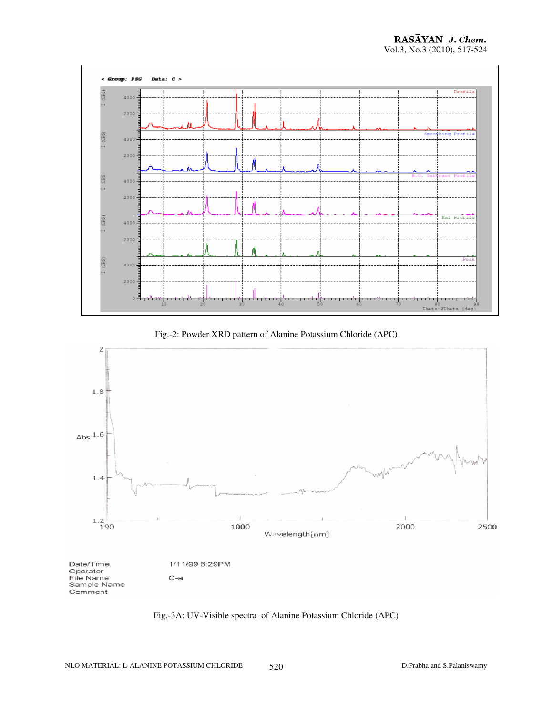





Fig.-3A: UV-Visible spectra of Alanine Potassium Chloride (APC)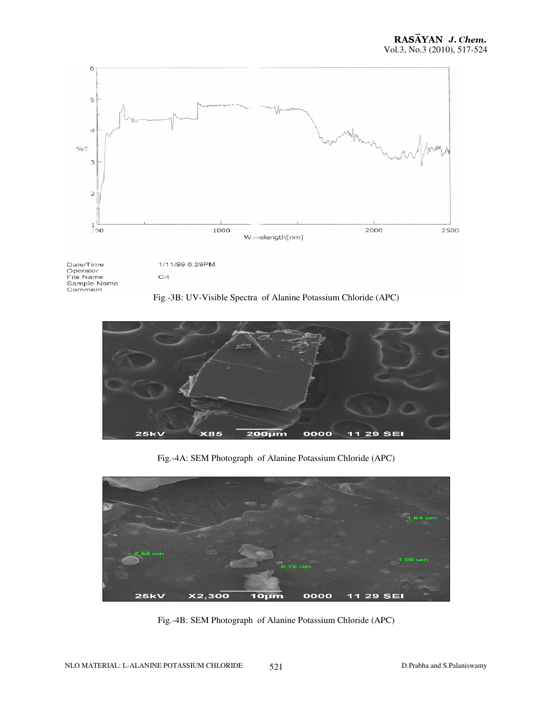





Fig.-4A: SEM Photograph of Alanine Potassium Chloride (APC)



Fig.-4B: SEM Photograph of Alanine Potassium Chloride (APC)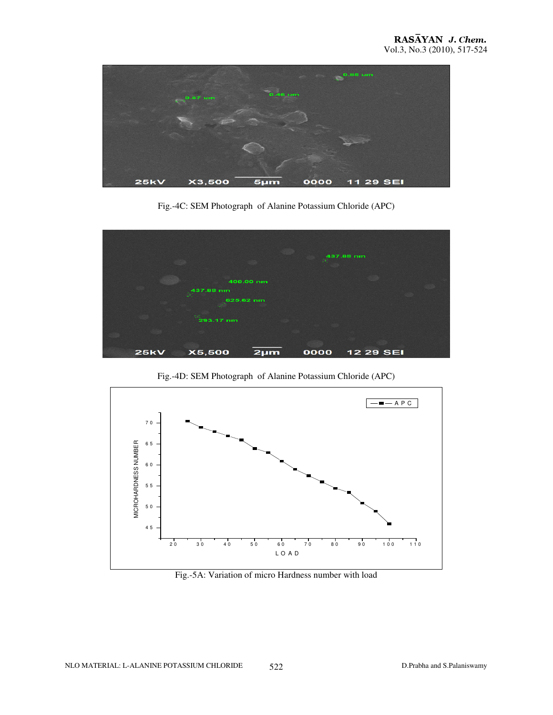

Fig.-4C: SEM Photograph of Alanine Potassium Chloride (APC)



Fig.-4D: SEM Photograph of Alanine Potassium Chloride (APC)



Fig.-5A: Variation of micro Hardness number with load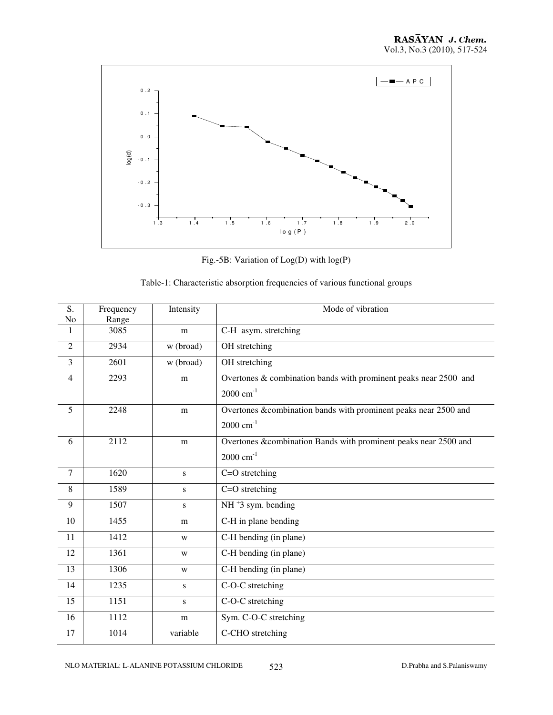

Fig.-5B: Variation of Log(D) with log(P)

| S.<br>No        | Frequency<br>Range | Intensity | Mode of vibration                                                                          |
|-----------------|--------------------|-----------|--------------------------------------------------------------------------------------------|
| $\mathbf{1}$    | 3085               | m         | C-H asym. stretching                                                                       |
| $\overline{2}$  | 2934               | w (broad) | OH stretching                                                                              |
| $\overline{3}$  | 2601               | w (broad) | OH stretching                                                                              |
| $\overline{4}$  | 2293               | m         | Overtones & combination bands with prominent peaks near 2500 and<br>$2000 \text{ cm}^{-1}$ |
| $\overline{5}$  | 2248               | m         | Overtones &combination bands with prominent peaks near 2500 and<br>$2000 \text{ cm}^{-1}$  |
| 6               | 2112               | m         | Overtones &combination Bands with prominent peaks near 2500 and<br>$2000 \text{ cm}^{-1}$  |
| $\overline{7}$  | 1620               | S         | $C=O$ stretching                                                                           |
| 8               | 1589               | S         | $C=O$ stretching                                                                           |
| 9               | 1507               | S         | $NH+3$ sym. bending                                                                        |
| 10              | 1455               | m         | C-H in plane bending                                                                       |
| 11              | 1412               | W         | C-H bending (in plane)                                                                     |
| 12              | 1361               | W         | C-H bending (in plane)                                                                     |
| $\overline{13}$ | 1306               | W         | C-H bending (in plane)                                                                     |
| 14              | 1235               | S         | C-O-C stretching                                                                           |
| 15              | 1151               | S         | C-O-C stretching                                                                           |
| 16              | 1112               | m         | Sym. C-O-C stretching                                                                      |
| 17              | 1014               | variable  | C-CHO stretching                                                                           |